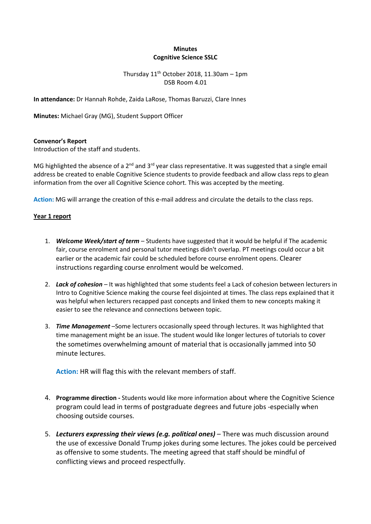# **Minutes Cognitive Science SSLC**

# Thursday  $11^{th}$  October 2018, 11.30am - 1pm DSB Room 4.01

**In attendance:** Dr Hannah Rohde, Zaida LaRose, Thomas Baruzzi, Clare Innes

**Minutes:** Michael Gray (MG), Student Support Officer

### **Convenor's Report**

Introduction of the staff and students.

MG highlighted the absence of a 2<sup>nd</sup> and 3<sup>rd</sup> year class representative. It was suggested that a single email address be created to enable Cognitive Science students to provide feedback and allow class reps to glean information from the over all Cognitive Science cohort. This was accepted by the meeting.

**Action:** MG will arrange the creation of this e-mail address and circulate the details to the class reps.

#### **Year 1 report**

- 1. **Welcome Week/start of term** Students have suggested that it would be helpful if The academic fair, course enrolment and personal tutor meetings didn't overlap. PT meetings could occur a bit earlier or the academic fair could be scheduled before course enrolment opens. Clearer instructions regarding course enrolment would be welcomed.
- 2. *Lack of cohesion –* It was highlighted that some students feel a Lack of cohesion between lecturers in Intro to Cognitive Science making the course feel disjointed at times. The class reps explained that it was helpful when lecturers recapped past concepts and linked them to new concepts making it easier to see the relevance and connections between topic.
- 3. *Time Management* –Some lecturers occasionally speed through lectures. It was highlighted that time management might be an issue. The student would like longer lectures of tutorials to cover the sometimes overwhelming amount of material that is occasionally jammed into 50 minute lectures.

**Action:** HR will flag this with the relevant members of staff.

- 4. **Programme direction -** Students would like more information about where the Cognitive Science program could lead in terms of postgraduate degrees and future jobs -especially when choosing outside courses.
- 5. Lecturers expressing their views (e.g. political ones) There was much discussion around the use of excessive Donald Trump jokes during some lectures. The jokes could be perceived as offensive to some students. The meeting agreed that staff should be mindful of conflicting views and proceed respectfully.